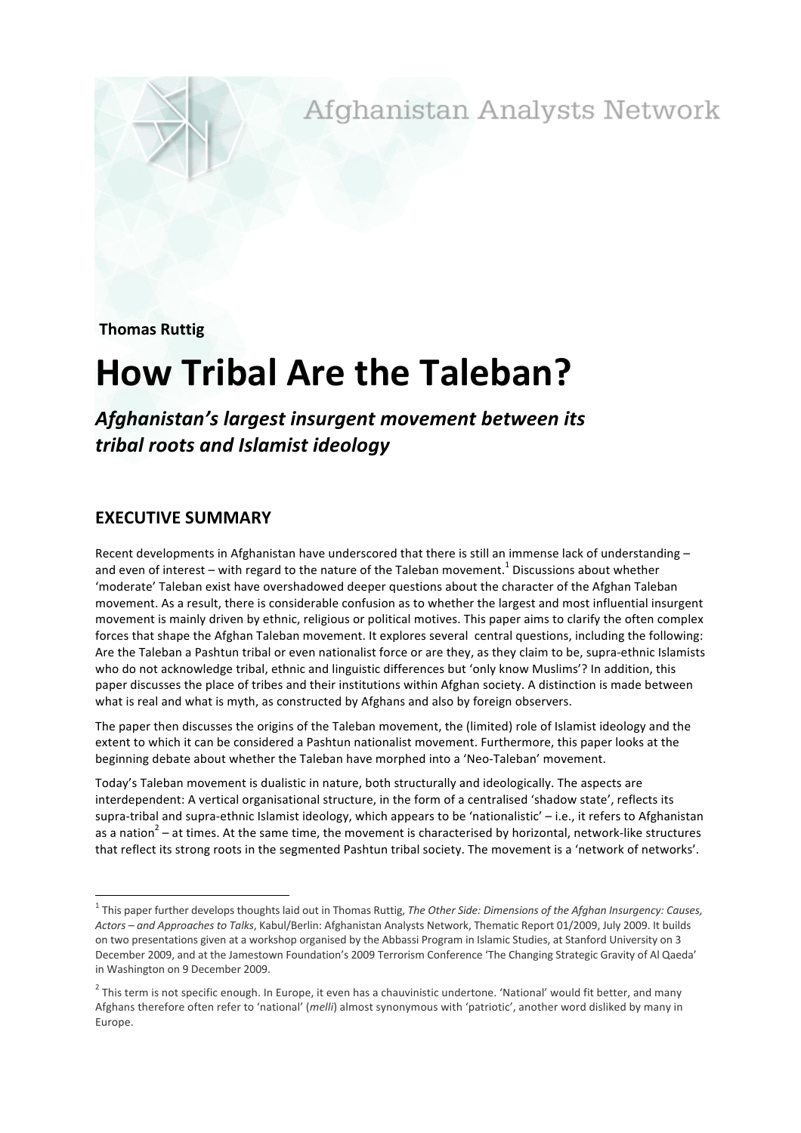Afghanistan Analysts Network

**Thomas Ruttig** 

## **How Tribal Are the Taleban?**

Afghanistan's largest insurgent movement between its *tribal+roots+and+Islamist+ideology*

## **EXECUTIVE SUMMARY**

Recent developments in Afghanistan have underscored that there is still an immense lack of understanding – and even of interest – with regard to the nature of the Taleban movement.<sup>1</sup> Discussions about whether 'moderate' Taleban exist have overshadowed deeper questions about the character of the Afghan Taleban movement. As a result, there is considerable confusion as to whether the largest and most influential insurgent movement is mainly driven by ethnic, religious or political motives. This paper aims to clarify the often complex forces that shape the Afghan Taleban movement. It explores several central questions, including the following: Are the Taleban a Pashtun tribal or even nationalist force or are they, as they claim to be, supra-ethnic Islamists who do not acknowledge tribal, ethnic and linguistic differences but 'only know Muslims'? In addition, this paper discusses the place of tribes and their institutions within Afghan society. A distinction is made between what is real and what is myth, as constructed by Afghans and also by foreign observers.

The paper then discusses the origins of the Taleban movement, the (limited) role of Islamist ideology and the extent to which it can be considered a Pashtun nationalist movement. Furthermore, this paper looks at the beginning debate about whether the Taleban have morphed into a 'Neo-Taleban' movement.

Today's Taleban movement is dualistic in nature, both structurally and ideologically. The aspects are interdependent: A vertical organisational structure, in the form of a centralised 'shadow state', reflects its supra-tribal and supra-ethnic Islamist ideology, which appears to be 'nationalistic' - i.e., it refers to Afghanistan as a nation<sup>2</sup> – at times. At the same time, the movement is characterised by horizontal, network-like structures that reflect its strong roots in the segmented Pashtun tribal society. The movement is a 'network of networks'.

<sup>&</sup>lt;sup>1</sup> This paper further develops thoughts laid out in Thomas Ruttig, The Other Side: Dimensions of the Afghan Insurgency: Causes, Actors – and Approaches to Talks, Kabul/Berlin: Afghanistan Analysts Network, Thematic Report 01/2009, July 2009. It builds on two presentations given at a workshop organised by the Abbassi Program in Islamic Studies, at Stanford University on 3 December 2009, and at the Jamestown Foundation's 2009 Terrorism Conference 'The Changing Strategic Gravity of Al Qaeda' in Washington on 9 December 2009.

 $^2$  This term is not specific enough. In Europe, it even has a chauvinistic undertone. 'National' would fit better, and many Afghans therefore often refer to 'national' (melli) almost synonymous with 'patriotic', another word disliked by many in Europe.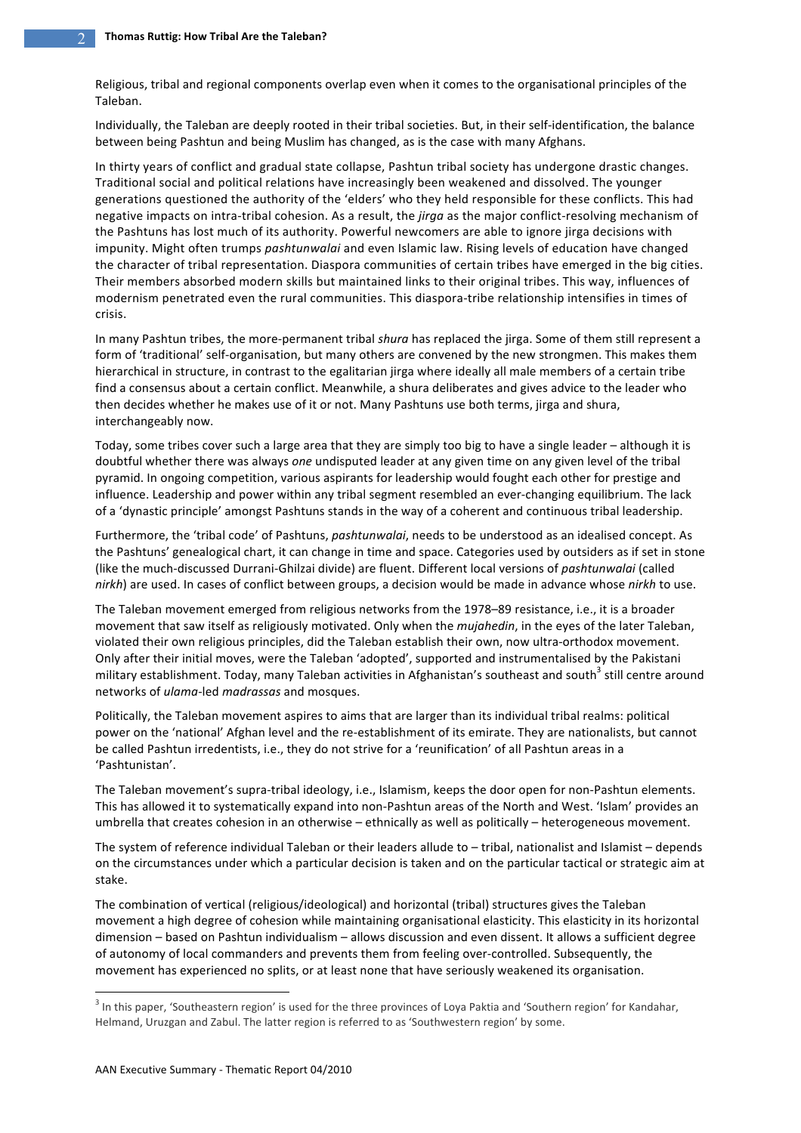Religious, tribal and regional components overlap even when it comes to the organisational principles of the Taleban.

Individually, the Taleban are deeply rooted in their tribal societies. But, in their self-identification, the balance between being Pashtun and being Muslim has changed, as is the case with many Afghans.

In thirty years of conflict and gradual state collapse, Pashtun tribal society has undergone drastic changes. Traditional social and political relations have increasingly been weakened and dissolved. The younger generations questioned the authority of the 'elders' who they held responsible for these conflicts. This had negative impacts on intra-tribal cohesion. As a result, the *jirga* as the major conflict-resolving mechanism of the Pashtuns has lost much of its authority. Powerful newcomers are able to ignore jirga decisions with impunity. Might often trumps *pashtunwalai* and even Islamic law. Rising levels of education have changed the character of tribal representation. Diaspora communities of certain tribes have emerged in the big cities. Their members absorbed modern skills but maintained links to their original tribes. This way, influences of modernism penetrated even the rural communities. This diaspora-tribe relationship intensifies in times of crisis.

In many Pashtun tribes, the more-permanent tribal shura has replaced the jirga. Some of them still represent a form of 'traditional' self-organisation, but many others are convened by the new strongmen. This makes them hierarchical in structure, in contrast to the egalitarian jirga where ideally all male members of a certain tribe find a consensus about a certain conflict. Meanwhile, a shura deliberates and gives advice to the leader who then decides whether he makes use of it or not. Many Pashtuns use both terms, jirga and shura, interchangeably now.

Today, some tribes cover such a large area that they are simply too big to have a single leader – although it is doubtful whether there was always one undisputed leader at any given time on any given level of the tribal pyramid. In ongoing competition, various aspirants for leadership would fought each other for prestige and influence. Leadership and power within any tribal segment resembled an ever-changing equilibrium. The lack of a 'dynastic principle' amongst Pashtuns stands in the way of a coherent and continuous tribal leadership.

Furthermore, the 'tribal code' of Pashtuns, pashtunwalai, needs to be understood as an idealised concept. As the Pashtuns' genealogical chart, it can change in time and space. Categories used by outsiders as if set in stone (like the much-discussed Durrani-Ghilzai divide) are fluent. Different local versions of pashtunwalai (called *nirkh*) are used. In cases of conflict between groups, a decision would be made in advance whose *nirkh* to use.

The Taleban movement emerged from religious networks from the 1978–89 resistance, i.e., it is a broader movement that saw itself as religiously motivated. Only when the *mujahedin*, in the eyes of the later Taleban, violated their own religious principles, did the Taleban establish their own, now ultra-orthodox movement. Only after their initial moves, were the Taleban 'adopted', supported and instrumentalised by the Pakistani military establishment. Today, many Taleban activities in Afghanistan's southeast and south<sup>3</sup> still centre around networks of *ulama*-led *madrassas* and mosques.

Politically, the Taleban movement aspires to aims that are larger than its individual tribal realms: political power on the 'national' Afghan level and the re-establishment of its emirate. They are nationalists, but cannot be called Pashtun irredentists, i.e., they do not strive for a 'reunification' of all Pashtun areas in a 'Pashtunistan'.

The Taleban movement's supra-tribal ideology, i.e., Islamism, keeps the door open for non-Pashtun elements. This has allowed it to systematically expand into non-Pashtun areas of the North and West. 'Islam' provides an umbrella that creates cohesion in an otherwise - ethnically as well as politically - heterogeneous movement.

The system of reference individual Taleban or their leaders allude to – tribal, nationalist and Islamist – depends on the circumstances under which a particular decision is taken and on the particular tactical or strategic aim at stake.

The combination of vertical (religious/ideological) and horizontal (tribal) structures gives the Taleban movement a high degree of cohesion while maintaining organisational elasticity. This elasticity in its horizontal dimension - based on Pashtun individualism - allows discussion and even dissent. It allows a sufficient degree of autonomy of local commanders and prevents them from feeling over-controlled. Subsequently, the movement has experienced no splits, or at least none that have seriously weakened its organisation.

 $\frac{1}{3}$  $^3$  In this paper, 'Southeastern region' is used for the three provinces of Loya Paktia and 'Southern region' for Kandahar, Helmand, Uruzgan and Zabul. The latter region is referred to as 'Southwestern region' by some.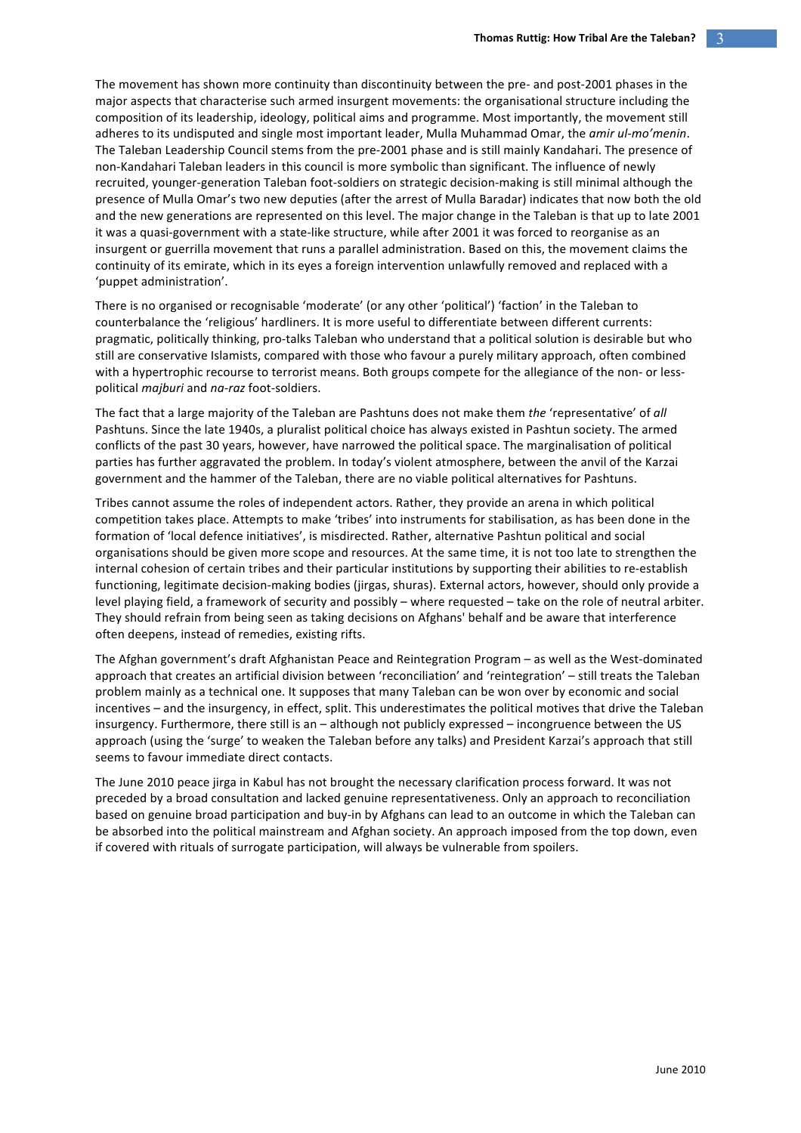The movement has shown more continuity than discontinuity between the pre- and post-2001 phases in the major aspects that characterise such armed insurgent movements: the organisational structure including the composition of its leadership, ideology, political aims and programme. Most importantly, the movement still adheres to its undisputed and single most important leader, Mulla Muhammad Omar, the *amir ul-mo'menin*. The Taleban Leadership Council stems from the pre-2001 phase and is still mainly Kandahari. The presence of non-Kandahari Taleban leaders in this council is more symbolic than significant. The influence of newly recruited, younger-generation Taleban foot-soldiers on strategic decision-making is still minimal although the presence of Mulla Omar's two new deputies (after the arrest of Mulla Baradar) indicates that now both the old and the new generations are represented on this level. The major change in the Taleban is that up to late 2001 it was a quasi-government with a state-like structure, while after 2001 it was forced to reorganise as an insurgent or guerrilla movement that runs a parallel administration. Based on this, the movement claims the continuity of its emirate, which in its eves a foreign intervention unlawfully removed and replaced with a 'puppet administration'.

There is no organised or recognisable 'moderate' (or any other 'political') 'faction' in the Taleban to counterbalance the 'religious' hardliners. It is more useful to differentiate between different currents: pragmatic, politically thinking, pro-talks Taleban who understand that a political solution is desirable but who still are conservative Islamists, compared with those who favour a purely military approach, often combined with a hypertrophic recourse to terrorist means. Both groups compete for the allegiance of the non- or lesspolitical *majburi* and *na-raz* foot-soldiers.

The fact that a large majority of the Taleban are Pashtuns does not make them the 'representative' of all Pashtuns. Since the late 1940s, a pluralist political choice has always existed in Pashtun society. The armed conflicts of the past 30 years, however, have narrowed the political space. The marginalisation of political parties has further aggravated the problem. In today's violent atmosphere, between the anvil of the Karzai government and the hammer of the Taleban, there are no viable political alternatives for Pashtuns.

Tribes cannot assume the roles of independent actors. Rather, they provide an arena in which political competition takes place. Attempts to make 'tribes' into instruments for stabilisation, as has been done in the formation of 'local defence initiatives', is misdirected. Rather, alternative Pashtun political and social organisations should be given more scope and resources. At the same time, it is not too late to strengthen the internal cohesion of certain tribes and their particular institutions by supporting their abilities to re-establish functioning, legitimate decision-making bodies (jirgas, shuras). External actors, however, should only provide a level playing field, a framework of security and possibly – where requested – take on the role of neutral arbiter. They should refrain from being seen as taking decisions on Afghans' behalf and be aware that interference often deepens, instead of remedies, existing rifts.

The Afghan government's draft Afghanistan Peace and Reintegration Program – as well as the West-dominated approach that creates an artificial division between 'reconciliation' and 'reintegration' – still treats the Taleban problem mainly as a technical one. It supposes that many Taleban can be won over by economic and social incentives – and the insurgency, in effect, split. This underestimates the political motives that drive the Taleban insurgency. Furthermore, there still is an – although not publicly expressed – incongruence between the US approach (using the 'surge' to weaken the Taleban before any talks) and President Karzai's approach that still seems to favour immediate direct contacts.

The June 2010 peace jirga in Kabul has not brought the necessary clarification process forward. It was not preceded by a broad consultation and lacked genuine representativeness. Only an approach to reconciliation based on genuine broad participation and buy-in by Afghans can lead to an outcome in which the Taleban can be absorbed into the political mainstream and Afghan society. An approach imposed from the top down, even if covered with rituals of surrogate participation, will always be vulnerable from spoilers.